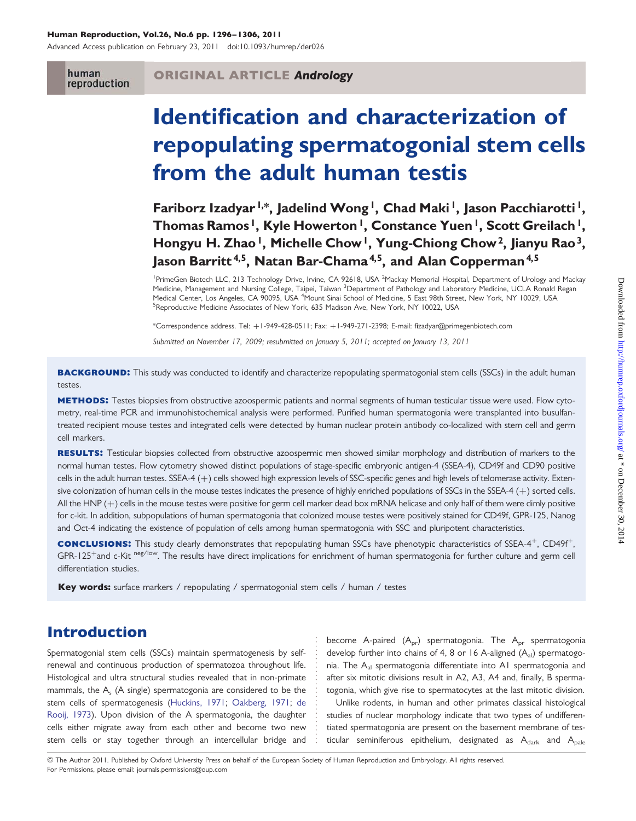#### Human Reproduction, Vol.26, No.6 pp. 1296–1306, 2011

Advanced Access publication on February 23, 2011 doi:10.1093/humrep/der026

human reproduction

#### ORIGINAL ARTICLE Andrology

# Identification and characterization of repopulating spermatogonial stem cells from the adult human testis

Fariborz Izadyar<sup>1,\*</sup>, Jadelind Wong<sup>1</sup>, Chad Maki<sup>1</sup>, Jason Pacchiarotti<sup>1</sup>, Thomas Ramos<sup>1</sup>, Kyle Howerton<sup>1</sup>, Constance Yuen<sup>1</sup>, Scott Greilach<sup>1</sup>, Hongyu H. Zhao<sup>1</sup>, Michelle Chow<sup>1</sup>, Yung-Chiong Chow<sup>2</sup>, Jianyu Rao<sup>3</sup>, Jason Barritt<sup>4,5</sup>, Natan Bar-Chama<sup>4,5</sup>, and Alan Copperman<sup>4,5</sup>

<sup>1</sup> PrimeGen Biotech LLC, 213 Technology Drive, Irvine, CA 92618, USA <sup>2</sup> Mackay Memorial Hospital, Department of Urology and Mackay Medicine, Management and Nursing College, Taipei, Taiwan <sup>3</sup>Department of Pathology and Laboratory Medicine, UCLA Ronald Regan Medical Center, Los Angeles, CA 90095, USA <sup>4</sup>Mount Sinai School of Medicine, 5 East 98th Street, New York, NY 10029, USA<br><sup>5</sup>Poproductive Medicine Associates of New York, 435 Medican Ave, New York, NY 10022, USA <sup>5</sup>Reproductive Medicine Associates of New York, 635 Madison Ave, New York, NY 10022, USA

\*Correspondence address. Tel: +1-949-428-0511; Fax: +1-949-271-2398; E-mail: fizadyar@primegenbiotech.com

Submitted on November 17, 2009; resubmitted on January 5, 2011; accepted on January 13, 2011

**BACKGROUND:** This study was conducted to identify and characterize repopulating spermatogonial stem cells (SSCs) in the adult human testes.

METHODS: Testes biopsies from obstructive azoospermic patients and normal segments of human testicular tissue were used. Flow cytometry, real-time PCR and immunohistochemical analysis were performed. Purified human spermatogonia were transplanted into busulfantreated recipient mouse testes and integrated cells were detected by human nuclear protein antibody co-localized with stem cell and germ cell markers.

RESULTS: Testicular biopsies collected from obstructive azoospermic men showed similar morphology and distribution of markers to the normal human testes. Flow cytometry showed distinct populations of stage-specific embryonic antigen-4 (SSEA-4), CD49f and CD90 positive cells in the adult human testes. SSEA-4 (+) cells showed high expression levels of SSC-specific genes and high levels of telomerase activity. Extensive colonization of human cells in the mouse testes indicates the presence of highly enriched populations of SSCs in the SSEA-4 (+) sorted cells. All the HNP (+) cells in the mouse testes were positive for germ cell marker dead box mRNA helicase and only half of them were dimly positive for c-kit. In addition, subpopulations of human spermatogonia that colonized mouse testes were positively stained for CD49f, GPR-125, Nanog and Oct-4 indicating the existence of population of cells among human spermatogonia with SSC and pluripotent characteristics.

conclusions: This study clearly demonstrates that repopulating human SSCs have phenotypic characteristics of SSEA-4+, CD49f+, GPR-125<sup>+</sup>and c-Kit <sup>neg/low</sup>. The results have direct implications for enrichment of human spermatogonia for further culture and germ cell differentiation studies.

Key words: surface markers / repopulating / spermatogonial stem cells / human / testes

## Introduction

Spermatogonial stem cells (SSCs) maintain spermatogenesis by selfrenewal and continuous production of spermatozoa throughout life. Histological and ultra structural studies revealed that in non-primate mammals, the A<sub>s</sub> (A single) spermatogonia are considered to be the stem cells of spermatogenesis [\(Huckins, 1971](#page-9-0); [Oakberg, 1971](#page-9-0); [de](#page-9-0) [Rooij, 1973\)](#page-9-0). Upon division of the A spermatogonia, the daughter cells either migrate away from each other and become two new stem cells or stay together through an intercellular bridge and

become A-paired  $(A_{pr})$  spermatogonia. The  $A_{pr}$  spermatogonia develop further into chains of 4, 8 or 16 A-aligned  $(A_{al})$  spermatogonia. The A<sub>al</sub> spermatogonia differentiate into A1 spermatogonia and after six mitotic divisions result in A2, A3, A4 and, finally, B spermatogonia, which give rise to spermatocytes at the last mitotic division.

Unlike rodents, in human and other primates classical histological studies of nuclear morphology indicate that two types of undifferentiated spermatogonia are present on the basement membrane of testicular seminiferous epithelium, designated as  $A_{dark}$  and  $A_{pale}$ 

& The Author 2011. Published by Oxford University Press on behalf of the European Society of Human Reproduction and Embryology. All rights reserved. For Permissions, please email: journals.permissions@oup.com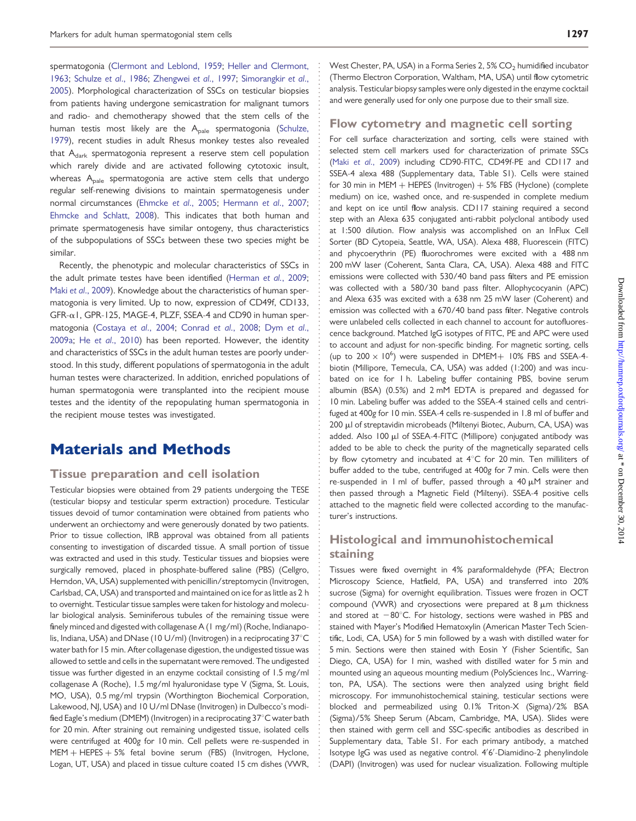spermatogonia [\(Clermont and Leblond, 1959;](#page-9-0) [Heller and Clermont,](#page-9-0) [1963](#page-9-0); [Schulze](#page-10-0) et al., 1986; [Zhengwei](#page-10-0) et al., 1997; [Simorangkir](#page-10-0) et al., [2005](#page-10-0)). Morphological characterization of SSCs on testicular biopsies from patients having undergone semicastration for malignant tumors and radio- and chemotherapy showed that the stem cells of the human testis most likely are the A<sub>pale</sub> spermatogonia [\(Schulze,](#page-10-0) [1979](#page-10-0)), recent studies in adult Rhesus monkey testes also revealed that  $A_{dark}$  spermatogonia represent a reserve stem cell population which rarely divide and are activated following cytotoxic insult, whereas A<sub>pale</sub> spermatogonia are active stem cells that undergo regular self-renewing divisions to maintain spermatogenesis under normal circumstances [\(Ehmcke](#page-9-0) et al., 2005; [Hermann](#page-9-0) et al., 2007; [Ehmcke and Schlatt, 2008](#page-9-0)). This indicates that both human and primate spermatogenesis have similar ontogeny, thus characteristics of the subpopulations of SSCs between these two species might be similar.

Recently, the phenotypic and molecular characteristics of SSCs in the adult primate testes have been identified ([Herman](#page-9-0) et al., 2009; Maki et al[., 2009](#page-9-0)). Knowledge about the characteristics of human spermatogonia is very limited. Up to now, expression of CD49f, CD133, GFR-a1, GPR-125, MAGE-4, PLZF, SSEA-4 and CD90 in human spermatogonia [\(Costaya](#page-9-0) et al., 2004; [Conrad](#page-9-0) et al., 2008; [Dym](#page-9-0) et al., [2009a](#page-9-0); He et al[., 2010\)](#page-9-0) has been reported. However, the identity and characteristics of SSCs in the adult human testes are poorly understood. In this study, different populations of spermatogonia in the adult human testes were characterized. In addition, enriched populations of human spermatogonia were transplanted into the recipient mouse testes and the identity of the repopulating human spermatogonia in the recipient mouse testes was investigated.

## Materials and Methods

#### Tissue preparation and cell isolation

Testicular biopsies were obtained from 29 patients undergoing the TESE (testicular biopsy and testicular sperm extraction) procedure. Testicular tissues devoid of tumor contamination were obtained from patients who underwent an orchiectomy and were generously donated by two patients. Prior to tissue collection, IRB approval was obtained from all patients consenting to investigation of discarded tissue. A small portion of tissue was extracted and used in this study. Testicular tissues and biopsies were surgically removed, placed in phosphate-buffered saline (PBS) (Cellgro, Herndon, VA, USA) supplemented with penicillin/streptomycin (Invitrogen, Carlsbad, CA, USA) and transported and maintained on ice for as little as 2 h to overnight. Testicular tissue samples were taken for histology and molecular biological analysis. Seminiferous tubules of the remaining tissue were finely minced and digested with collagenase A (1 mg/ml) (Roche, Indianapolis, Indiana, USA) and DNase (10 U/ml) (Invitrogen) in a reciprocating 37°C water bath for 15 min. After collagenase digestion, the undigested tissue was allowed to settle and cells in the supernatant were removed. The undigested tissue was further digested in an enzyme cocktail consisting of 1.5 mg/ml collagenase A (Roche), 1.5 mg/ml hyaluronidase type V (Sigma, St. Louis, MO, USA), 0.5 mg/ml trypsin (Worthington Biochemical Corporation, Lakewood, NJ, USA) and 10 U/ml DNase (Invitrogen) in Dulbecco's modified Eagle's medium (DMEM) (Invitrogen) in a reciprocating 37°C water bath for 20 min. After straining out remaining undigested tissue, isolated cells were centrifuged at 400g for 10 min. Cell pellets were re-suspended in  $MEM + HEPES + 5%$  fetal bovine serum (FBS) (Invitrogen, Hyclone, Logan, UT, USA) and placed in tissue culture coated 15 cm dishes (VWR,

West Chester, PA, USA) in a Forma Series 2, 5% CO<sub>2</sub> humidified incubator (Thermo Electron Corporation, Waltham, MA, USA) until flow cytometric analysis. Testicular biopsy samples were only digested in the enzyme cocktail and were generally used for only one purpose due to their small size.

#### Flow cytometry and magnetic cell sorting

For cell surface characterization and sorting, cells were stained with selected stem cell markers used for characterization of primate SSCs (Maki et al[., 2009\)](#page-9-0) including CD90-FITC, CD49f-PE and CD117 and SSEA-4 alexa 488 ([Supplementary data, Table S1\)](http://humrep.oxfordjournals.org/cgi/content/full/der026/DC1). Cells were stained for 30 min in MEM  $+$  HEPES (Invitrogen)  $+$  5% FBS (Hyclone) (complete medium) on ice, washed once, and re-suspended in complete medium and kept on ice until flow analysis. CD117 staining required a second step with an Alexa 635 conjugated anti-rabbit polyclonal antibody used at 1:500 dilution. Flow analysis was accomplished on an InFlux Cell Sorter (BD Cytopeia, Seattle, WA, USA). Alexa 488, Fluorescein (FITC) and phycoerythrin (PE) fluorochromes were excited with a 488 nm 200 mW laser (Coherent, Santa Clara, CA, USA). Alexa 488 and FITC emissions were collected with 530/40 band pass filters and PE emission was collected with a 580/30 band pass filter. Allophycocyanin (APC) and Alexa 635 was excited with a 638 nm 25 mW laser (Coherent) and emission was collected with a 670/40 band pass filter. Negative controls were unlabeled cells collected in each channel to account for autofluorescence background. Matched IgG isotypes of FITC, PE and APC were used to account and adjust for non-specific binding. For magnetic sorting, cells (up to  $200 \times 10^6$ ) were suspended in DMEM+ 10% FBS and SSEA-4biotin (Millipore, Temecula, CA, USA) was added (1:200) and was incubated on ice for 1 h. Labeling buffer containing PBS, bovine serum albumin (BSA) (0.5%) and 2 mM EDTA is prepared and degassed for 10 min. Labeling buffer was added to the SSEA-4 stained cells and centrifuged at 400g for 10 min. SSEA-4 cells re-suspended in 1.8 ml of buffer and 200 µl of streptavidin microbeads (Miltenyi Biotec, Auburn, CA, USA) was added. Also 100 µl of SSEA-4-FITC (Millipore) conjugated antibody was added to be able to check the purity of the magnetically separated cells by flow cytometry and incubated at  $4^{\circ}$ C for 20 min. Ten milliliters of buffer added to the tube, centrifuged at 400g for 7 min. Cells were then re-suspended in 1 ml of buffer, passed through a 40  $\mu$ M strainer and then passed through a Magnetic Field (Miltenyi). SSEA-4 positive cells attached to the magnetic field were collected according to the manufacturer's instructions.

## Histological and immunohistochemical staining

Tissues were fixed overnight in 4% paraformaldehyde (PFA; Electron Microscopy Science, Hatfield, PA, USA) and transferred into 20% sucrose (Sigma) for overnight equilibration. Tissues were frozen in OCT compound (VWR) and cryosections were prepared at  $8 \mu m$  thickness and stored at  $-80^{\circ}$ C. For histology, sections were washed in PBS and stained with Mayer's Modified Hematoxylin (American Master Tech Scientific, Lodi, CA, USA) for 5 min followed by a wash with distilled water for 5 min. Sections were then stained with Eosin Y (Fisher Scientific, San Diego, CA, USA) for 1 min, washed with distilled water for 5 min and mounted using an aqueous mounting medium (PolySciences Inc., Warrington, PA, USA). The sections were then analyzed using bright field microscopy. For immunohistochemical staining, testicular sections were blocked and permeabilized using 0.1% Triton-X (Sigma)/2% BSA (Sigma)/5% Sheep Serum (Abcam, Cambridge, MA, USA). Slides were then stained with germ cell and SSC-specific antibodies as described in [Supplementary data, Table S1](http://humrep.oxfordjournals.org/cgi/content/full/der026/DC1). For each primary antibody, a matched Isotype IgG was used as negative control. 4′ 6′ -Diamidino-2 phenylindole (DAPI) (Invitrogen) was used for nuclear visualization. Following multiple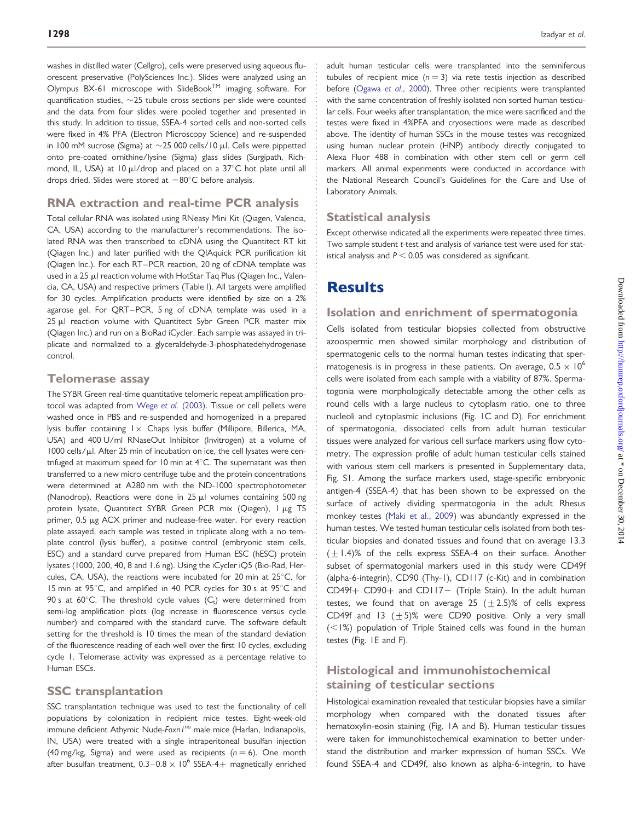washes in distilled water (Cellgro), cells were preserved using aqueous fluorescent preservative (PolySciences Inc.). Slides were analyzed using an Olympus BX-61 microscope with SlideBookTM imaging software. For quantification studies,  $\sim$ 25 tubule cross sections per slide were counted and the data from four slides were pooled together and presented in this study. In addition to tissue, SSEA-4 sorted cells and non-sorted cells were fixed in 4% PFA (Electron Microscopy Science) and re-suspended in 100 mM sucrose (Sigma) at  $\sim$  25 000 cells/10  $\mu$ l. Cells were pippetted onto pre-coated ornithine/lysine (Sigma) glass slides (Surgipath, Richmond, IL, USA) at 10  $\mu$ I/drop and placed on a 37°C hot plate until all drops dried. Slides were stored at  $-80^{\circ}$ C before analysis.

## RNA extraction and real-time PCR analysis

Total cellular RNA was isolated using RNeasy Mini Kit (Qiagen, Valencia, CA, USA) according to the manufacturer's recommendations. The isolated RNA was then transcribed to cDNA using the Quantitect RT kit (Qiagen Inc.) and later purified with the QIAquick PCR purification kit (Qiagen Inc.). For each RT–PCR reaction, 20 ng of cDNA template was used in a 25 µl reaction volume with HotStar Taq Plus (Qiagen Inc., Valencia, CA, USA) and respective primers (Table [I](#page-3-0)). All targets were amplified for 30 cycles. Amplification products were identified by size on a 2% agarose gel. For QRT–PCR, 5 ng of cDNA template was used in a 25 µl reaction volume with Quantitect Sybr Green PCR master mix (Qiagen Inc.) and run on a BioRad iCycler. Each sample was assayed in triplicate and normalized to a glyceraldehyde-3-phosphatedehydrogenase control.

#### Telomerase assay

The SYBR Green real-time quantitative telomeric repeat amplification protocol was adapted from Wege et al. [\(2003\).](#page-10-0) Tissue or cell pellets were washed once in PBS and re-suspended and homogenized in a prepared lysis buffer containing  $1 \times$  Chaps lysis buffer (Millipore, Billerica, MA, USA) and 400 U/ml RNaseOut Inhibitor (Invitrogen) at a volume of 1000 cells/µl. After 25 min of incubation on ice, the cell lysates were centrifuged at maximum speed for 10 min at  $4^{\circ}$ C. The supernatant was then transferred to a new micro centrifuge tube and the protein concentrations were determined at A280 nm with the ND-1000 spectrophotometer (Nanodrop). Reactions were done in  $25 \mu l$  volumes containing 500 ng protein lysate, Quantitect SYBR Green PCR mix (Qiagen), I µg TS primer, 0.5 µg ACX primer and nuclease-free water. For every reaction plate assayed, each sample was tested in triplicate along with a no template control (lysis buffer), a positive control (embryonic stem cells, ESC) and a standard curve prepared from Human ESC (hESC) protein lysates (1000, 200, 40, 8 and 1.6 ng). Using the iCycler iQ5 (Bio-Rad, Hercules, CA, USA), the reactions were incubated for 20 min at  $25^{\circ}$ C, for 15 min at 95°C, and amplified in 40 PCR cycles for 30 s at 95°C and 90 s at  $60^{\circ}$ C. The threshold cycle values  $(C_t)$  were determined from semi-log amplification plots (log increase in fluorescence versus cycle number) and compared with the standard curve. The software default setting for the threshold is 10 times the mean of the standard deviation of the fluorescence reading of each well over the first 10 cycles, excluding cycle 1. Telomerase activity was expressed as a percentage relative to Human ESCs.

#### SSC transplantation

SSC transplantation technique was used to test the functionality of cell populations by colonization in recipient mice testes. Eight-week-old immune deficient Athymic Nude-Foxn I<sup>nu</sup> male mice (Harlan, Indianapolis, IN, USA) were treated with a single intraperitoneal busulfan injection (40 mg/kg, Sigma) and were used as recipients ( $n = 6$ ). One month after busulfan treatment,  $0.3-0.8 \times 10^6$  SSEA-4+ magnetically enriched

adult human testicular cells were transplanted into the seminiferous tubules of recipient mice  $(n = 3)$  via rete testis injection as described before (Ogawa et al[., 2000\)](#page-9-0). Three other recipients were transplanted with the same concentration of freshly isolated non sorted human testicular cells. Four weeks after transplantation, the mice were sacrificed and the testes were fixed in 4%PFA and cryosections were made as described above. The identity of human SSCs in the mouse testes was recognized using human nuclear protein (HNP) antibody directly conjugated to Alexa Fluor 488 in combination with other stem cell or germ cell markers. All animal experiments were conducted in accordance with the National Research Council's Guidelines for the Care and Use of Laboratory Animals.

## Statistical analysis

Except otherwise indicated all the experiments were repeated three times. Two sample student t-test and analysis of variance test were used for statistical analysis and  $P < 0.05$  was considered as significant.

## **Results**

#### Isolation and enrichment of spermatogonia

Cells isolated from testicular biopsies collected from obstructive azoospermic men showed similar morphology and distribution of spermatogenic cells to the normal human testes indicating that spermatogenesis is in progress in these patients. On average,  $0.5 \times 10^6$ cells were isolated from each sample with a viability of 87%. Spermatogonia were morphologically detectable among the other cells as round cells with a large nucleus to cytoplasm ratio, one to three nucleoli and cytoplasmic inclusions (Fig. [1C](#page-4-0) and D). For enrichment of spermatogonia, dissociated cells from adult human testicular tissues were analyzed for various cell surface markers using flow cytometry. The expression profile of adult human testicular cells stained with various stem cell markers is presented in [Supplementary data,](http://humrep.oxfordjournals.org/cgi/content/full/der026/DC1) [Fig. S1.](http://humrep.oxfordjournals.org/cgi/content/full/der026/DC1) Among the surface markers used, stage-specific embryonic antigen-4 (SSEA-4) that has been shown to be expressed on the surface of actively dividing spermatogonia in the adult Rhesus monkey testes [\(Maki et al., 2009\)](#page-9-0) was abundantly expressed in the human testes. We tested human testicular cells isolated from both testicular biopsies and donated tissues and found that on average 13.3  $(\pm 1.4)$ % of the cells express SSEA-4 on their surface. Another subset of spermatogonial markers used in this study were CD49f (alpha-6-integrin), CD90 (Thy-1), CD117 (c-Kit) and in combination  $CD49f+CD90+$  and  $CD117-$  (Triple Stain). In the adult human testes, we found that on average 25  $(\pm 2.5)$ % of cells express CD49f and 13  $(+5)$ % were CD90 positive. Only a very small  $(<1%)$  population of Triple Stained cells was found in the human testes (Fig. [1E](#page-4-0) and F).

## Histological and immunohistochemical staining of testicular sections

Histological examination revealed that testicular biopsies have a similar morphology when compared with the donated tissues after hematoxylin-eosin staining (Fig. [1A](#page-4-0) and B). Human testicular tissues were taken for immunohistochemical examination to better understand the distribution and marker expression of human SSCs. We found SSEA-4 and CD49f, also known as alpha-6-integrin, to have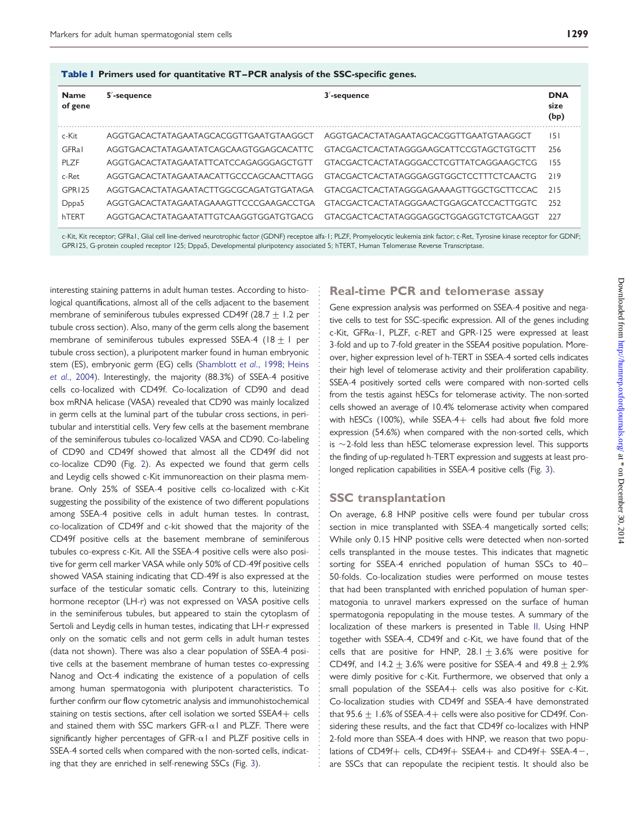<span id="page-3-0"></span>Table I Primers used for quantitative RT–PCR analysis of the SSC-specific genes.

| <b>Name</b><br>of gene | $5'$ -sequence                         | $3'$ -sequence                          | <b>DNA</b><br>size<br>(bp) |
|------------------------|----------------------------------------|-----------------------------------------|----------------------------|
| c-Kit                  | AGGTGACACTATAGAATAGCACGGTTGAATGTAAGGCT | AGGTGACACTATAGAATAGCACGGTTGAATGTAAGGCT  | 151                        |
| <b>GFRal</b>           | AGGTGACACTATAGAATATCAGCAAGTGGAGCACATTC | GTACGACTCACTATAGGGAAGCATTCCGTAGCTGTGCTT | 256                        |
| PLZF                   | AGGTGACACTATAGAATATTCATCCAGAGGGAGCTGTT | GTACGACTCACTATAGGGACCTCGTTATCAGGAAGCTCG | 155                        |
| c-Ret                  | AGGTGACACTATAGAATAACATTGCCCAGCAACTTAGG | GTACGACTCACTATAGGGAGGTGGCTCCTTTCTCAACTG | 719                        |
| GPR125                 | AGGTGACACTATAGAATACTTGGCGCAGATGTGATAGA | GTACGACTCACTATAGGGAGAAAAGTTGGCTGCTTCCAC | 715                        |
| D <sub>ppa5</sub>      | AGGTGACACTATAGAATAGAAAGTTCCCGAAGACCTGA | GTACGACTCACTATAGGGAACTGGAGCATCCACTTGGTC | 252                        |
| hTFRT                  | AGGTGACACTATAGAATATTGTCAAGGTGGATGTGACG | GTACGACTCACTATAGGGAGGCTGGAGGTCTGTCAAGGT | 227                        |

c-Kit, Kit receptor; GFRa1, Glial cell line-derived neurotrophic factor (GDNF) receptoe alfa-1; PLZF, Promyelocytic leukemia zink factor; c-Ret, Tyrosine kinase receptor for GDNF; GPR125, G-protein coupled receptor 125; Dppa5, Developmental pluripotency associated 5; hTERT, Human Telomerase Reverse Transcriptase.

interesting staining patterns in adult human testes. According to histological quantifications, almost all of the cells adjacent to the basement membrane of seminiferous tubules expressed CD49f (28.7 + 1.2 per tubule cross section). Also, many of the germ cells along the basement membrane of seminiferous tubules expressed SSEA-4 (18  $\pm$  1 per tubule cross section), a pluripotent marker found in human embryonic stem (ES), embryonic germ (EG) cells ([Shamblott](#page-10-0) et al., 1998; [Heins](#page-9-0) et al[., 2004\)](#page-9-0). Interestingly, the majority (88.3%) of SSEA-4 positive cells co-localized with CD49f. Co-localization of CD90 and dead box mRNA helicase (VASA) revealed that CD90 was mainly localized in germ cells at the luminal part of the tubular cross sections, in peritubular and interstitial cells. Very few cells at the basement membrane of the seminiferous tubules co-localized VASA and CD90. Co-labeling of CD90 and CD49f showed that almost all the CD49f did not co-localize CD90 (Fig. [2](#page-5-0)). As expected we found that germ cells and Leydig cells showed c-Kit immunoreaction on their plasma membrane. Only 25% of SSEA-4 positive cells co-localized with c-Kit suggesting the possibility of the existence of two different populations among SSEA-4 positive cells in adult human testes. In contrast, co-localization of CD49f and c-kit showed that the majority of the CD49f positive cells at the basement membrane of seminiferous tubules co-express c-Kit. All the SSEA-4 positive cells were also positive for germ cell marker VASA while only 50% of CD-49f positive cells showed VASA staining indicating that CD-49f is also expressed at the surface of the testicular somatic cells. Contrary to this, luteinizing hormone receptor (LH-r) was not expressed on VASA positive cells in the seminiferous tubules, but appeared to stain the cytoplasm of Sertoli and Leydig cells in human testes, indicating that LH-r expressed only on the somatic cells and not germ cells in adult human testes (data not shown). There was also a clear population of SSEA-4 positive cells at the basement membrane of human testes co-expressing Nanog and Oct-4 indicating the existence of a population of cells among human spermatogonia with pluripotent characteristics. To further confirm our flow cytometric analysis and immunohistochemical staining on testis sections, after cell isolation we sorted SSEA4+ cells and stained them with SSC markers GFR- $\alpha$ 1 and PLZF. There were significantly higher percentages of GFR- $\alpha$ 1 and PLZF positive cells in SSEA-4 sorted cells when compared with the non-sorted cells, indicating that they are enriched in self-renewing SSCs (Fig. [3](#page-6-0)).

## Real-time PCR and telomerase assay

Gene expression analysis was performed on SSEA-4 positive and negative cells to test for SSC-specific expression. All of the genes including c-Kit, GFRa-1, PLZF, c-RET and GPR-125 were expressed at least 3-fold and up to 7-fold greater in the SSEA4 positive population. Moreover, higher expression level of h-TERT in SSEA-4 sorted cells indicates their high level of telomerase activity and their proliferation capability. SSEA-4 positively sorted cells were compared with non-sorted cells from the testis against hESCs for telomerase activity. The non-sorted cells showed an average of 10.4% telomerase activity when compared with hESCs (100%), while SSEA-4+ cells had about five fold more expression (54.6%) when compared with the non-sorted cells, which is  $\sim$  2-fold less than hESC telomerase expression level. This supports the finding of up-regulated h-TERT expression and suggests at least prolonged replication capabilities in SSEA-4 positive cells (Fig. [3\)](#page-6-0).

#### SSC transplantation

On average, 6.8 HNP positive cells were found per tubular cross section in mice transplanted with SSEA-4 mangetically sorted cells; While only 0.15 HNP positive cells were detected when non-sorted cells transplanted in the mouse testes. This indicates that magnetic sorting for SSEA-4 enriched population of human SSCs to 40-50-folds. Co-localization studies were performed on mouse testes that had been transplanted with enriched population of human spermatogonia to unravel markers expressed on the surface of human spermatogonia repopulating in the mouse testes. A summary of the localization of these markers is presented in Table [II](#page-6-0). Using HNP together with SSEA-4, CD49f and c-Kit, we have found that of the cells that are positive for HNP, 28.1  $\pm$  3.6% were positive for CD49f, and  $14.2 + 3.6%$  were positive for SSEA-4 and  $49.8 + 2.9%$ were dimly positive for c-Kit. Furthermore, we observed that only a small population of the SSEA4+ cells was also positive for c-Kit. Co-localization studies with CD49f and SSEA-4 have demonstrated that 95.6  $\pm$  1.6% of SSEA-4+ cells were also positive for CD49f. Considering these results, and the fact that CD49f co-localizes with HNP 2-fold more than SSEA-4 does with HNP, we reason that two populations of CD49f+ cells, CD49f+ SSEA4+ and CD49f+ SSEA-4-, are SSCs that can repopulate the recipient testis. It should also be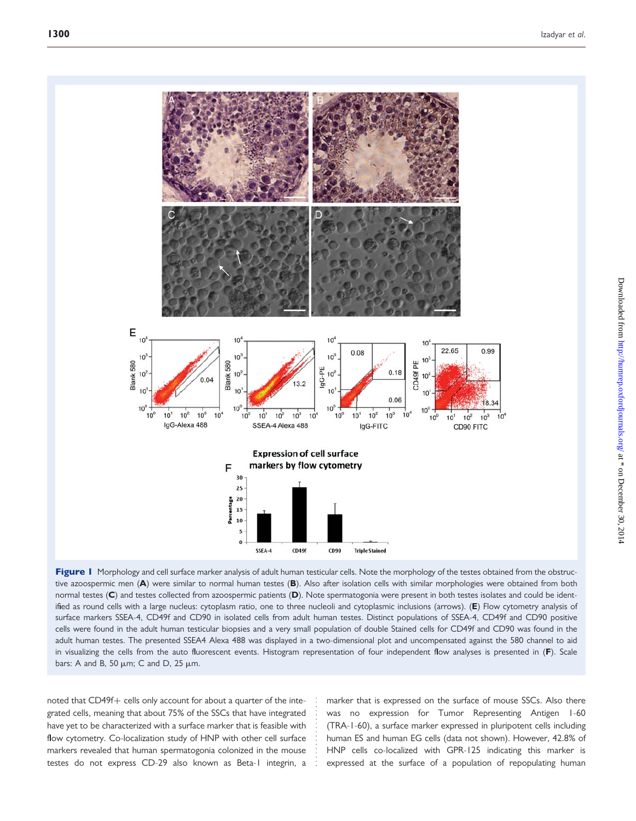<span id="page-4-0"></span>

Figure I Morphology and cell surface marker analysis of adult human testicular cells. Note the morphology of the testes obtained from the obstructive azoospermic men (A) were similar to normal human testes (B). Also after isolation cells with similar morphologies were obtained from both normal testes (C) and testes collected from azoospermic patients (D). Note spermatogonia were present in both testes isolates and could be identified as round cells with a large nucleus: cytoplasm ratio, one to three nucleoli and cytoplasmic inclusions (arrows). (E) Flow cytometry analysis of surface markers SSEA-4, CD49f and CD90 in isolated cells from adult human testes. Distinct populations of SSEA-4, CD49f and CD90 positive cells were found in the adult human testicular biopsies and a very small population of double Stained cells for CD49f and CD90 was found in the adult human testes. The presented SSEA4 Alexa 488 was displayed in a two-dimensional plot and uncompensated against the 580 channel to aid in visualizing the cells from the auto fluorescent events. Histogram representation of four independent flow analyses is presented in (F). Scale bars: A and B, 50  $\mu$ m; C and D, 25  $\mu$ m.

noted that CD49f+ cells only account for about a quarter of the integrated cells, meaning that about 75% of the SSCs that have integrated have yet to be characterized with a surface marker that is feasible with flow cytometry. Co-localization study of HNP with other cell surface markers revealed that human spermatogonia colonized in the mouse testes do not express CD-29 also known as Beta-1 integrin, a

marker that is expressed on the surface of mouse SSCs. Also there was no expression for Tumor Representing Antigen 1-60 (TRA-1-60), a surface marker expressed in pluripotent cells including human ES and human EG cells (data not shown). However, 42.8% of HNP cells co-localized with GPR-125 indicating this marker is expressed at the surface of a population of repopulating human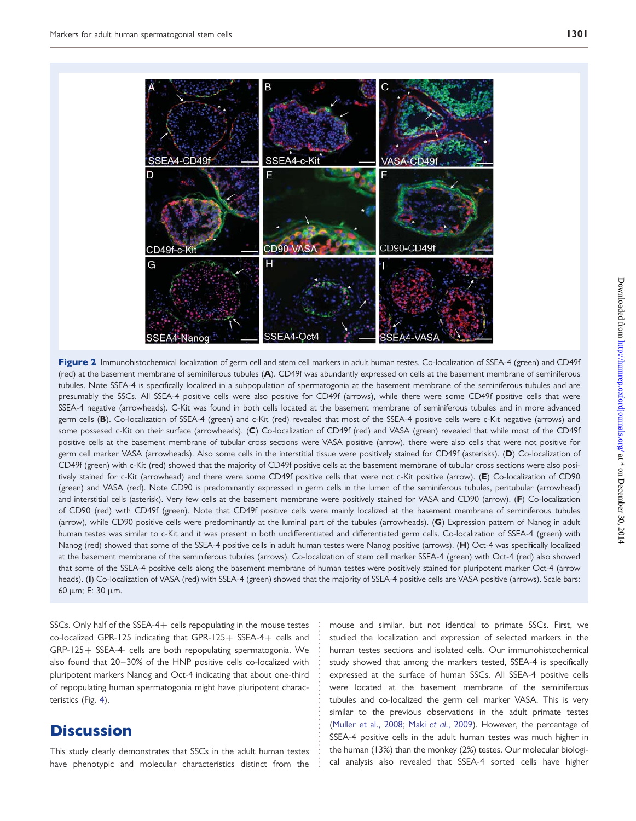<span id="page-5-0"></span>

Figure 2 Immunohistochemical localization of germ cell and stem cell markers in adult human testes. Co-localization of SSEA-4 (green) and CD49f (red) at the basement membrane of seminiferous tubules (A). CD49f was abundantly expressed on cells at the basement membrane of seminiferous tubules. Note SSEA-4 is specifically localized in a subpopulation of spermatogonia at the basement membrane of the seminiferous tubules and are presumably the SSCs. All SSEA-4 positive cells were also positive for CD49f (arrows), while there were some CD49f positive cells that were SSEA-4 negative (arrowheads). C-Kit was found in both cells located at the basement membrane of seminiferous tubules and in more advanced germ cells (B). Co-localization of SSEA-4 (green) and c-Kit (red) revealed that most of the SSEA-4 positive cells were c-Kit negative (arrows) and some possesed c-Kit on their surface (arrowheads). (C) Co-localization of CD49f (red) and VASA (green) revealed that while most of the CD49f positive cells at the basement membrane of tubular cross sections were VASA positive (arrow), there were also cells that were not positive for germ cell marker VASA (arrowheads). Also some cells in the interstitial tissue were positively stained for CD49f (asterisks). (D) Co-localization of CD49f (green) with c-Kit (red) showed that the majority of CD49f positive cells at the basement membrane of tubular cross sections were also positively stained for c-Kit (arrowhead) and there were some CD49f positive cells that were not c-Kit positive (arrow). (E) Co-localization of CD90 (green) and VASA (red). Note CD90 is predominantly expressed in germ cells in the lumen of the seminiferous tubules, peritubular (arrowhead) and interstitial cells (asterisk). Very few cells at the basement membrane were positively stained for VASA and CD90 (arrow). (F) Co-localization of CD90 (red) with CD49f (green). Note that CD49f positive cells were mainly localized at the basement membrane of seminiferous tubules (arrow), while CD90 positive cells were predominantly at the luminal part of the tubules (arrowheads). (G) Expression pattern of Nanog in adult human testes was similar to c-Kit and it was present in both undifferentiated and differentiated germ cells. Co-localization of SSEA-4 (green) with Nanog (red) showed that some of the SSEA-4 positive cells in adult human testes were Nanog positive (arrows). (H) Oct-4 was specifically localized at the basement membrane of the seminiferous tubules (arrows). Co-localization of stem cell marker SSEA-4 (green) with Oct-4 (red) also showed that some of the SSEA-4 positive cells along the basement membrane of human testes were positively stained for pluripotent marker Oct-4 (arrow heads). (I) Co-localization of VASA (red) with SSEA-4 (green) showed that the majority of SSEA-4 positive cells are VASA positive (arrows). Scale bars: 60 mm; E: 30 mm.

SSCs. Only half of the SSEA-4+ cells repopulating in the mouse testes co-localized GPR-125 indicating that GPR-125+ SSEA-4+ cells and GRP-125+ SSEA-4- cells are both repopulating spermatogonia. We also found that 20-30% of the HNP positive cells co-localized with pluripotent markers Nanog and Oct-4 indicating that about one-third of repopulating human spermatogonia might have pluripotent characteristics (Fig. [4](#page-7-0)).

## **Discussion**

This study clearly demonstrates that SSCs in the adult human testes have phenotypic and molecular characteristics distinct from the

mouse and similar, but not identical to primate SSCs. First, we studied the localization and expression of selected markers in the human testes sections and isolated cells. Our immunohistochemical study showed that among the markers tested, SSEA-4 is specifically expressed at the surface of human SSCs. All SSEA-4 positive cells were located at the basement membrane of the seminiferous tubules and co-localized the germ cell marker VASA. This is very similar to the previous observations in the adult primate testes [\(Muller et al., 2008](#page-9-0); Maki et al[., 2009](#page-9-0)). However, the percentage of SSEA-4 positive cells in the adult human testes was much higher in the human (13%) than the monkey (2%) testes. Our molecular biological analysis also revealed that SSEA-4 sorted cells have higher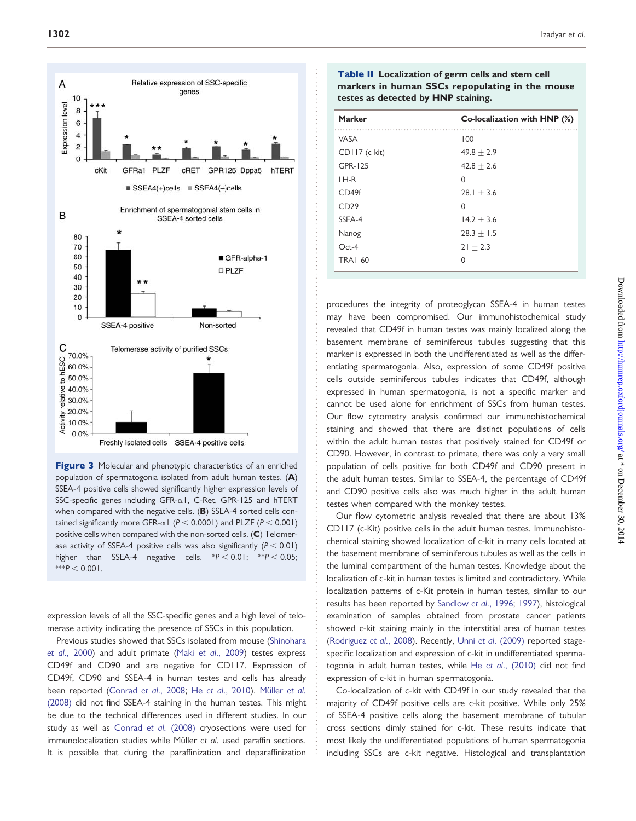<span id="page-6-0"></span>

Figure 3 Molecular and phenotypic characteristics of an enriched population of spermatogonia isolated from adult human testes. (A) SSEA-4 positive cells showed significantly higher expression levels of SSC-specific genes including GFR- $\alpha$ 1, C-Ret, GPR-125 and hTERT when compared with the negative cells. (B) SSEA-4 sorted cells contained significantly more GFR- $\alpha$ 1 (P < 0.0001) and PLZF (P < 0.001) positive cells when compared with the non-sorted cells. (C) Telomerase activity of SSEA-4 positive cells was also significantly ( $P < 0.01$ ) higher than SSEA-4 negative cells.  $*P < 0.01$ ;  $*P < 0.05$ ;  $***P < 0.001$ .

expression levels of all the SSC-specific genes and a high level of telomerase activity indicating the presence of SSCs in this population.

Previous studies showed that SSCs isolated from mouse ([Shinohara](#page-10-0) et al[., 2000\)](#page-10-0) and adult primate (Maki et al[., 2009\)](#page-9-0) testes express CD49f and CD90 and are negative for CD117. Expression of CD49f, CD90 and SSEA-4 in human testes and cells has already been reported [\(Conrad](#page-9-0) et al., 2008; He et al[., 2010](#page-9-0)). Müller et al. [\(2008\)](#page-9-0) did not find SSEA-4 staining in the human testes. This might be due to the technical differences used in different studies. In our study as well as [Conrad](#page-9-0) et al. (2008) cryosections were used for immunolocalization studies while Müller et al. used paraffin sections. It is possible that during the paraffinization and deparaffinization

Table II Localization of germ cells and stem cell markers in human SSCs repopulating in the mouse testes as detected by HNP staining.

| <b>Marker</b>     | Co-localization with HNP (%) |
|-------------------|------------------------------|
| <b>VASA</b>       | 100                          |
| $CD$ II7 (c-kit)  | $49.8 + 2.9$                 |
| GPR-125           | $42.8 + 2.6$                 |
| LH-R              | 0                            |
| CD <sub>49f</sub> | 28.1 $\pm$ 3.6               |
| CD29              | O                            |
| SSEA-4            | $14.2 + 3.6$                 |
| Nanog             | $28.3 + 1.5$                 |
| $Oct-4$           | $21 + 2.3$                   |
| <b>TRA1-60</b>    | U                            |

procedures the integrity of proteoglycan SSEA-4 in human testes may have been compromised. Our immunohistochemical study revealed that CD49f in human testes was mainly localized along the basement membrane of seminiferous tubules suggesting that this marker is expressed in both the undifferentiated as well as the differentiating spermatogonia. Also, expression of some CD49f positive cells outside seminiferous tubules indicates that CD49f, although expressed in human spermatogonia, is not a specific marker and cannot be used alone for enrichment of SSCs from human testes. Our flow cytometry analysis confirmed our immunohistochemical staining and showed that there are distinct populations of cells within the adult human testes that positively stained for CD49f or CD90. However, in contrast to primate, there was only a very small population of cells positive for both CD49f and CD90 present in the adult human testes. Similar to SSEA-4, the percentage of CD49f and CD90 positive cells also was much higher in the adult human testes when compared with the monkey testes.

Our flow cytometric analysis revealed that there are about 13% CD117 (c-Kit) positive cells in the adult human testes. Immunohistochemical staining showed localization of c-kit in many cells located at the basement membrane of seminiferous tubules as well as the cells in the luminal compartment of the human testes. Knowledge about the localization of c-kit in human testes is limited and contradictory. While localization patterns of c-Kit protein in human testes, similar to our results has been reported by [Sandlow](#page-9-0) et al., 1996; [1997](#page-9-0)), histological examination of samples obtained from prostate cancer patients showed c-kit staining mainly in the interstitial area of human testes ([Rodriguez](#page-9-0) et al., 2008). Recently, Unni et al[. \(2009\)](#page-10-0) reported stagespecific localization and expression of c-kit in undifferentiated spermatogonia in adult human testes, while He et al[., \(2010\)](#page-9-0) did not find expression of c-kit in human spermatogonia.

Co-localization of c-kit with CD49f in our study revealed that the majority of CD49f positive cells are c-kit positive. While only 25% of SSEA-4 positive cells along the basement membrane of tubular cross sections dimly stained for c-kit. These results indicate that most likely the undifferentiated populations of human spermatogonia including SSCs are c-kit negative. Histological and transplantation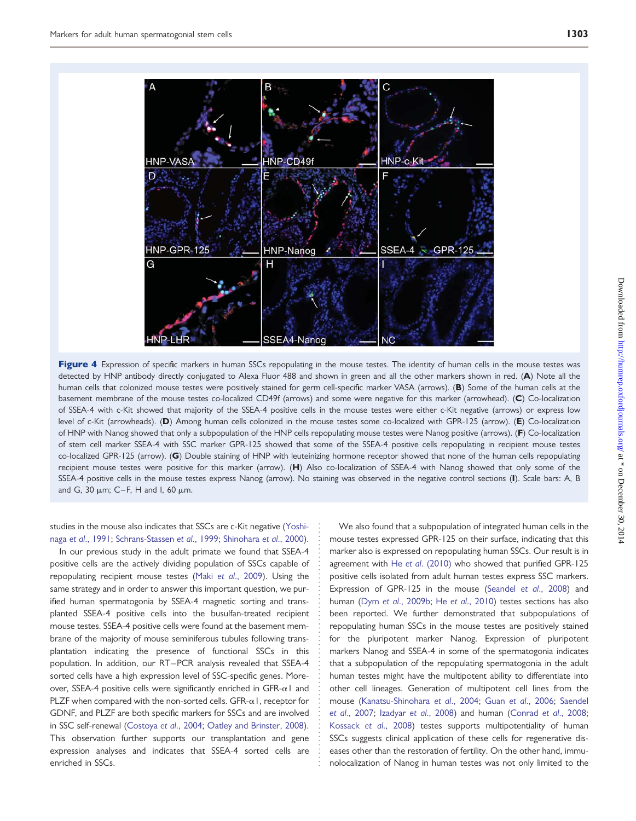<span id="page-7-0"></span>

Figure 4 Expression of specific markers in human SSCs repopulating in the mouse testes. The identity of human cells in the mouse testes was detected by HNP antibody directly conjugated to Alexa Fluor 488 and shown in green and all the other markers shown in red. (A) Note all the human cells that colonized mouse testes were positively stained for germ cell-specific marker VASA (arrows). (B) Some of the human cells at the basement membrane of the mouse testes co-localized CD49f (arrows) and some were negative for this marker (arrowhead). (C) Co-localization of SSEA-4 with c-Kit showed that majority of the SSEA-4 positive cells in the mouse testes were either c-Kit negative (arrows) or express low level of c-Kit (arrowheads). (D) Among human cells colonized in the mouse testes some co-localized with GPR-125 (arrow). (E) Co-localization of HNP with Nanog showed that only a subpopulation of the HNP cells repopulating mouse testes were Nanog positive (arrows). (F) Co-localization of stem cell marker SSEA-4 with SSC marker GPR-125 showed that some of the SSEA-4 positive cells repopulating in recipient mouse testes co-localized GPR-125 (arrow). (G) Double staining of HNP with leuteinizing hormone receptor showed that none of the human cells repopulating recipient mouse testes were positive for this marker (arrow). (H) Also co-localization of SSEA-4 with Nanog showed that only some of the SSEA-4 positive cells in the mouse testes express Nanog (arrow). No staining was observed in the negative control sections (I). Scale bars: A, B and G, 30  $\mu$ m; C-F, H and I, 60  $\mu$ m.

#### studies in the mouse also indicates that SSCs are c-Kit negative [\(Yoshi](#page-10-0)naga et al[., 1991;](#page-10-0) [Schrans-Stassen](#page-9-0) et al., 1999; [Shinohara](#page-10-0) et al., 2000).

In our previous study in the adult primate we found that SSEA-4 positive cells are the actively dividing population of SSCs capable of repopulating recipient mouse testes (Maki et al[., 2009\)](#page-9-0). Using the same strategy and in order to answer this important question, we purified human spermatogonia by SSEA-4 magnetic sorting and transplanted SSEA-4 positive cells into the busulfan-treated recipient mouse testes. SSEA-4 positive cells were found at the basement membrane of the majority of mouse seminiferous tubules following transplantation indicating the presence of functional SSCs in this population. In addition, our RT –PCR analysis revealed that SSEA-4 sorted cells have a high expression level of SSC-specific genes. Moreover, SSEA-4 positive cells were significantly enriched in GFR- $\alpha$ 1 and PLZF when compared with the non-sorted cells. GFR- $\alpha$ 1, receptor for GDNF, and PLZF are both specific markers for SSCs and are involved in SSC self-renewal [\(Costoya](#page-9-0) et al., 2004; [Oatley and Brinster, 2008\)](#page-9-0). This observation further supports our transplantation and gene expression analyses and indicates that SSEA-4 sorted cells are enriched in SSCs.

We also found that a subpopulation of integrated human cells in the mouse testes expressed GPR-125 on their surface, indicating that this marker also is expressed on repopulating human SSCs. Our result is in agreement with He et al[. \(2010\)](#page-9-0) who showed that purified GPR-125 positive cells isolated from adult human testes express SSC markers. Expression of GPR-125 in the mouse [\(Seandel](#page-10-0) et al., 2008) and human (Dym et al[., 2009b](#page-9-0); He et al[., 2010](#page-9-0)) testes sections has also been reported. We further demonstrated that subpopulations of repopulating human SSCs in the mouse testes are positively stained for the pluripotent marker Nanog. Expression of pluripotent markers Nanog and SSEA-4 in some of the spermatogonia indicates that a subpopulation of the repopulating spermatogonia in the adult human testes might have the multipotent ability to differentiate into other cell lineages. Generation of multipotent cell lines from the mouse [\(Kanatsu-Shinohara](#page-9-0) et al., 2004; Guan et al[., 2006](#page-9-0); [Saendel](#page-10-0) et al[., 2007;](#page-10-0) Izadyar et al[., 2008](#page-9-0)) and human ([Conrad](#page-9-0) et al., 2008; [Kossack](#page-9-0) et al., 2008) testes supports multipotentiality of human SSCs suggests clinical application of these cells for regenerative diseases other than the restoration of fertility. On the other hand, immunolocalization of Nanog in human testes was not only limited to the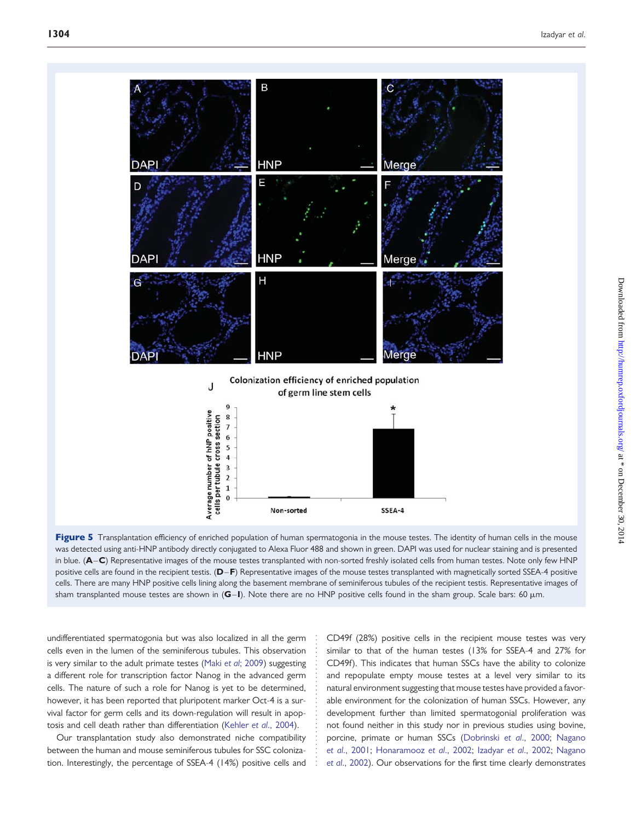

Figure 5 Transplantation efficiency of enriched population of human spermatogonia in the mouse testes. The identity of human cells in the mouse was detected using anti-HNP antibody directly conjugated to Alexa Fluor 488 and shown in green. DAPI was used for nuclear staining and is presented in blue. (A-C) Representative images of the mouse testes transplanted with non-sorted freshly isolated cells from human testes. Note only few HNP positive cells are found in the recipient testis. (D–F) Representative images of the mouse testes transplanted with magnetically sorted SSEA-4 positive cells. There are many HNP positive cells lining along the basement membrane of seminiferous tubules of the recipient testis. Representative images of sham transplanted mouse testes are shown in  $(G-I)$ . Note there are no HNP positive cells found in the sham group. Scale bars: 60  $\mu$ m.

undifferentiated spermatogonia but was also localized in all the germ cells even in the lumen of the seminiferous tubules. This observation is very similar to the adult primate testes (Maki et al[; 2009\)](#page-9-0) suggesting a different role for transcription factor Nanog in the advanced germ cells. The nature of such a role for Nanog is yet to be determined, however, it has been reported that pluripotent marker Oct-4 is a survival factor for germ cells and its down-regulation will result in apoptosis and cell death rather than differentiation (Kehler et al[., 2004](#page-9-0)).

Our transplantation study also demonstrated niche compatibility between the human and mouse seminiferous tubules for SSC colonization. Interestingly, the percentage of SSEA-4 (14%) positive cells and

CD49f (28%) positive cells in the recipient mouse testes was very similar to that of the human testes (13% for SSEA-4 and 27% for CD49f). This indicates that human SSCs have the ability to colonize and repopulate empty mouse testes at a level very similar to its natural environment suggesting that mouse testes have provided a favorable environment for the colonization of human SSCs. However, any development further than limited spermatogonial proliferation was not found neither in this study nor in previous studies using bovine, porcine, primate or human SSCs [\(Dobrinski](#page-9-0) et al., 2000; [Nagano](#page-9-0) et al[., 2001](#page-9-0); [Honaramooz](#page-9-0) et al., 2002; Izadyar et al[., 2002](#page-9-0); [Nagano](#page-9-0) et al[., 2002\)](#page-9-0). Our observations for the first time clearly demonstrates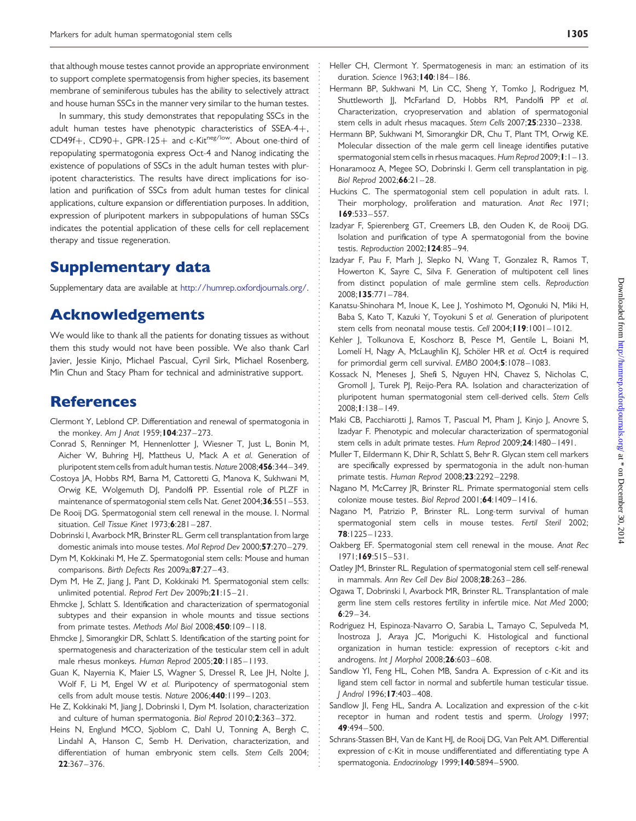<span id="page-9-0"></span>that although mouse testes cannot provide an appropriate environment to support complete spermatogensis from higher species, its basement membrane of seminiferous tubules has the ability to selectively attract and house human SSCs in the manner very similar to the human testes.

In summary, this study demonstrates that repopulating SSCs in the adult human testes have phenotypic characteristics of SSEA-4+,  $CD49f+$ ,  $CD90+$ ,  $GPR-125+$  and  $c-Kit^{neg/low}$ . About one-third of repopulating spermatogonia express Oct-4 and Nanog indicating the existence of populations of SSCs in the adult human testes with pluripotent characteristics. The results have direct implications for isolation and purification of SSCs from adult human testes for clinical applications, culture expansion or differentiation purposes. In addition, expression of pluripotent markers in subpopulations of human SSCs indicates the potential application of these cells for cell replacement therapy and tissue regeneration.

## Supplementary data

[Supplementary data are available at](http://humrep.oxfordjournals.org/cgi/content/full/der026/DC1) <http://humrep.oxfordjournals.org/>.

## Acknowledgements

We would like to thank all the patients for donating tissues as without them this study would not have been possible. We also thank Carl Javier, Jessie Kinjo, Michael Pascual, Cyril Sirk, Michael Rosenberg, Min Chun and Stacy Pham for technical and administrative support.

## **References**

- Clermont Y, Leblond CP. Differentiation and renewal of spermatogonia in the monkey. Am | Anat 1959; 104:237-273.
- Conrad S, Renninger M, Hennenlotter J, Wiesner T, Just L, Bonin M, Aicher W, Buhring HJ, Mattheus U, Mack A et al. Generation of pluripotent stem cells from adult human testis. Nature 2008;456:344-349.
- Costoya JA, Hobbs RM, Barna M, Cattoretti G, Manova K, Sukhwani M, Orwig KE, Wolgemuth DJ, Pandolfi PP. Essential role of PLZF in maintenance of spermatogonial stem cells Nat. Genet 2004;36:551-553.
- De Rooij DG. Spermatogonial stem cell renewal in the mouse. I. Normal situation. Cell Tissue Kinet 1973;6:281 – 287.
- Dobrinski I, Avarbock MR, Brinster RL. Germ cell transplantation from large domestic animals into mouse testes. Mol Reprod Dev 2000;57:270 – 279.
- Dym M, Kokkinaki M, He Z. Spermatogonial stem cells: Mouse and human comparisons. Birth Defects Res 2009a; 87:27-43.
- Dym M, He Z, Jiang J, Pant D, Kokkinaki M. Spermatogonial stem cells: unlimited potential. Reprod Fert Dev 2009b;21:15-21.
- Ehmcke J, Schlatt S. Identification and characterization of spermatogonial subtypes and their expansion in whole mounts and tissue sections from primate testes. Methods Mol Biol 2008;450:109-118.
- Ehmcke J, Simorangkir DR, Schlatt S. Identification of the starting point for spermatogenesis and characterization of the testicular stem cell in adult male rhesus monkeys. Human Reprod 2005;20:1185-1193.
- Guan K, Nayernia K, Maier LS, Wagner S, Dressel R, Lee JH, Nolte J, Wolf F, Li M, Engel W et al. Pluripotency of spermatogonial stem cells from adult mouse testis. Nature 2006;440:1199-1203.
- He Z, Kokkinaki M, Jiang J, Dobrinski I, Dym M. Isolation, characterization and culture of human spermatogonia. Biol Reprod 2010;2:363 – 372.
- Heins N, Englund MCO, Sjoblom C, Dahl U, Tonning A, Bergh C, Lindahl A, Hanson C, Semb H. Derivation, characterization, and differentiation of human embryonic stem cells. Stem Cells 2004; 22:367– 376.
- Heller CH, Clermont Y. Spermatogenesis in man: an estimation of its duration. Science 1963; 140: 184-186.
- Hermann BP, Sukhwani M, Lin CC, Sheng Y, Tomko J, Rodriguez M, Shuttleworth JJ, McFarland D, Hobbs RM, Pandolfi PP et al. Characterization, cryopreservation and ablation of spermatogonial stem cells in adult rhesus macaques. Stem Cells 2007;25:2330 – 2338.
- Hermann BP, Sukhwani M, Simorangkir DR, Chu T, Plant TM, Orwig KE. Molecular dissection of the male germ cell lineage identifies putative spermatogonial stem cells in rhesus macaques. Hum Reprod 2009;  $\vert \cdot \vert - \vert 3$ .
- Honaramooz A, Megee SO, Dobrinski I. Germ cell transplantation in pig. Biol Reprod 2002;66:21-28.
- Huckins C. The spermatogonial stem cell population in adult rats. I. Their morphology, proliferation and maturation. Anat Rec 1971; 169:533– 557.
- Izadyar F, Spierenberg GT, Creemers LB, den Ouden K, de Rooij DG. Isolation and purification of type A spermatogonial from the bovine testis. Reproduction 2002; 124:85-94.
- Izadyar F, Pau F, Marh J, Slepko N, Wang T, Gonzalez R, Ramos T, Howerton K, Sayre C, Silva F. Generation of multipotent cell lines from distinct population of male germline stem cells. Reproduction 2008;135:771 – 784.
- Kanatsu-Shinohara M, Inoue K, Lee J, Yoshimoto M, Ogonuki N, Miki H, Baba S, Kato T, Kazuki Y, Toyokuni S et al. Generation of pluripotent stem cells from neonatal mouse testis. Cell 2004; 19:1001-1012.
- Kehler J, Tolkunova E, Koschorz B, Pesce M, Gentile L, Boiani M, Lomelí H, Nagy A, McLaughlin KJ, Schöler HR et al. Oct4 is required for primordial germ cell survival. EMBO 2004;5:1078– 1083.
- Kossack N, Meneses J, Shefi S, Nguyen HN, Chavez S, Nicholas C, Gromoll J, Turek PJ, Reijo-Pera RA. Isolation and characterization of pluripotent human spermatogonial stem cell-derived cells. Stem Cells 2008;1:138 – 149.
- Maki CB, Pacchiarotti J, Ramos T, Pascual M, Pham J, Kinjo J, Anovre S, Izadyar F. Phenotypic and molecular characterization of spermatogonial stem cells in adult primate testes. Hum Reprod 2009;24:1480–1491.
- Muller T, Eildermann K, Dhir R, Schlatt S, Behr R. Glycan stem cell markers are specifically expressed by spermatogonia in the adult non-human primate testis. Human Reprod 2008;23:2292-2298.
- Nagano M, McCarrey JR, Brinster RL. Primate spermatogonial stem cells colonize mouse testes. Biol Reprod 2001;64:1409-1416.
- Nagano M, Patrizio P, Brinster RL. Long-term survival of human spermatogonial stem cells in mouse testes. Fertil Steril 2002; 78:1225– 1233.
- Oakberg EF. Spermatogonial stem cell renewal in the mouse. Anat Rec 1971;169:515 – 531.
- Oatley JM, Brinster RL. Regulation of spermatogonial stem cell self-renewal in mammals. Ann Rev Cell Dev Biol 2008;28:263 – 286.
- Ogawa T, Dobrinski I, Avarbock MR, Brinster RL. Transplantation of male germ line stem cells restores fertility in infertile mice. Nat Med 2000;  $6:29 - 34.$
- Rodriguez H, Espinoza-Navarro O, Sarabia L, Tamayo C, Sepulveda M, Inostroza J, Araya JC, Moriguchi K. Histological and functional organization in human testicle: expression of receptors c-kit and androgens. Int J Morphol 2008;26:603 – 608.
- Sandlow YI, Feng HL, Cohen MB, Sandra A. Expression of c-Kit and its ligand stem cell factor in normal and subfertile human testicular tissue. J Androl 1996;17:403– 408.
- Sandlow JI, Feng HL, Sandra A. Localization and expression of the c-kit receptor in human and rodent testis and sperm. Urology 1997; 49:494– 500.
- Schrans-Stassen BH, Van de Kant HJ, de Rooij DG, Van Pelt AM. Differential expression of c-Kit in mouse undifferentiated and differentiating type A spermatogonia. Endocrinology 1999;140:5894-5900.